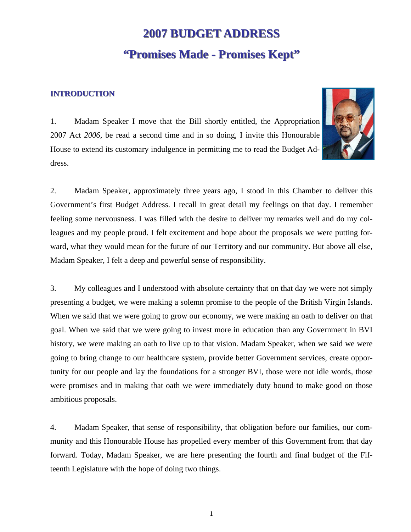# **2007 BUDGET ADDRESS 2007 BUDGET ADDRESS "Promises Made - Promises Kept"**

## **INTRODUCTION**



1. Madam Speaker I move that the Bill shortly entitled, the Appropriation 2007 Act *2006*, be read a second time and in so doing, I invite this Honourable House to extend its customary indulgence in permitting me to read the Budget Address.

2. Madam Speaker, approximately three years ago, I stood in this Chamber to deliver this Government's first Budget Address. I recall in great detail my feelings on that day. I remember feeling some nervousness. I was filled with the desire to deliver my remarks well and do my colleagues and my people proud. I felt excitement and hope about the proposals we were putting forward, what they would mean for the future of our Territory and our community. But above all else, Madam Speaker, I felt a deep and powerful sense of responsibility.

3. My colleagues and I understood with absolute certainty that on that day we were not simply presenting a budget, we were making a solemn promise to the people of the British Virgin Islands. When we said that we were going to grow our economy, we were making an oath to deliver on that goal. When we said that we were going to invest more in education than any Government in BVI history, we were making an oath to live up to that vision. Madam Speaker, when we said we were going to bring change to our healthcare system, provide better Government services, create opportunity for our people and lay the foundations for a stronger BVI, those were not idle words, those were promises and in making that oath we were immediately duty bound to make good on those ambitious proposals.

4. Madam Speaker, that sense of responsibility, that obligation before our families, our community and this Honourable House has propelled every member of this Government from that day forward. Today, Madam Speaker, we are here presenting the fourth and final budget of the Fifteenth Legislature with the hope of doing two things.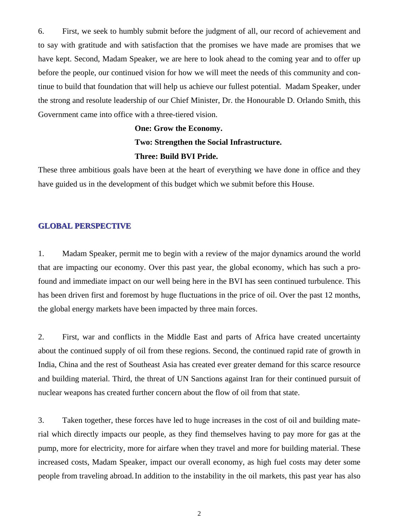6. First, we seek to humbly submit before the judgment of all, our record of achievement and to say with gratitude and with satisfaction that the promises we have made are promises that we have kept. Second, Madam Speaker, we are here to look ahead to the coming year and to offer up before the people, our continued vision for how we will meet the needs of this community and continue to build that foundation that will help us achieve our fullest potential. Madam Speaker, under the strong and resolute leadership of our Chief Minister, Dr. the Honourable D. Orlando Smith, this Government came into office with a three-tiered vision.

# **One: Grow the Economy. Two: Strengthen the Social Infrastructure. Three: Build BVI Pride.**

These three ambitious goals have been at the heart of everything we have done in office and they have guided us in the development of this budget which we submit before this House.

#### **GLOBAL PERSPECTIVE**

1. Madam Speaker, permit me to begin with a review of the major dynamics around the world that are impacting our economy. Over this past year, the global economy, which has such a profound and immediate impact on our well being here in the BVI has seen continued turbulence. This has been driven first and foremost by huge fluctuations in the price of oil. Over the past 12 months, the global energy markets have been impacted by three main forces.

2. First, war and conflicts in the Middle East and parts of Africa have created uncertainty about the continued supply of oil from these regions. Second, the continued rapid rate of growth in India, China and the rest of Southeast Asia has created ever greater demand for this scarce resource and building material. Third, the threat of UN Sanctions against Iran for their continued pursuit of nuclear weapons has created further concern about the flow of oil from that state.

3. Taken together, these forces have led to huge increases in the cost of oil and building material which directly impacts our people, as they find themselves having to pay more for gas at the pump, more for electricity, more for airfare when they travel and more for building material. These increased costs, Madam Speaker, impact our overall economy, as high fuel costs may deter some people from traveling abroad. In addition to the instability in the oil markets, this past year has also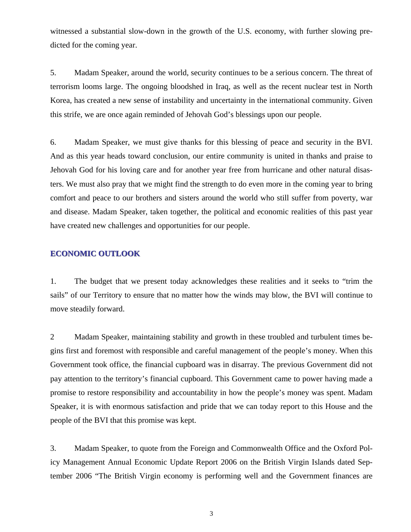witnessed a substantial slow-down in the growth of the U.S. economy, with further slowing predicted for the coming year.

5. Madam Speaker, around the world, security continues to be a serious concern. The threat of terrorism looms large. The ongoing bloodshed in Iraq, as well as the recent nuclear test in North Korea, has created a new sense of instability and uncertainty in the international community. Given this strife, we are once again reminded of Jehovah God's blessings upon our people.

6. Madam Speaker, we must give thanks for this blessing of peace and security in the BVI. And as this year heads toward conclusion, our entire community is united in thanks and praise to Jehovah God for his loving care and for another year free from hurricane and other natural disasters. We must also pray that we might find the strength to do even more in the coming year to bring comfort and peace to our brothers and sisters around the world who still suffer from poverty, war and disease. Madam Speaker, taken together, the political and economic realities of this past year have created new challenges and opportunities for our people.

#### **ECONOMIC OUTLOOK**

1. The budget that we present today acknowledges these realities and it seeks to "trim the sails" of our Territory to ensure that no matter how the winds may blow, the BVI will continue to move steadily forward.

2 Madam Speaker, maintaining stability and growth in these troubled and turbulent times begins first and foremost with responsible and careful management of the people's money. When this Government took office, the financial cupboard was in disarray. The previous Government did not pay attention to the territory's financial cupboard. This Government came to power having made a promise to restore responsibility and accountability in how the people's money was spent. Madam Speaker, it is with enormous satisfaction and pride that we can today report to this House and the people of the BVI that this promise was kept.

3. Madam Speaker, to quote from the Foreign and Commonwealth Office and the Oxford Policy Management Annual Economic Update Report 2006 on the British Virgin Islands dated September 2006 "The British Virgin economy is performing well and the Government finances are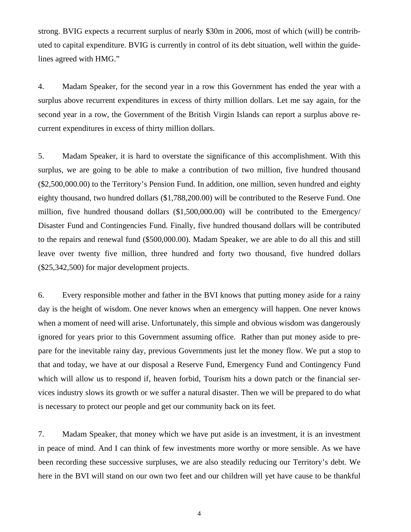strong. BVIG expects a recurrent surplus of nearly \$30m in 2006, most of which (will) be contributed to capital expenditure. BVIG is currently in control of its debt situation, well within the guidelines agreed with HMG."

4. Madam Speaker, for the second year in a row this Government has ended the year with a surplus above recurrent expenditures in excess of thirty million dollars. Let me say again, for the second year in a row, the Government of the British Virgin Islands can report a surplus above recurrent expenditures in excess of thirty million dollars.

5. Madam Speaker, it is hard to overstate the significance of this accomplishment. With this surplus, we are going to be able to make a contribution of two million, five hundred thousand (\$2,500,000.00) to the Territory's Pension Fund. In addition, one million, seven hundred and eighty eighty thousand, two hundred dollars (\$1,788,200.00) will be contributed to the Reserve Fund. One million, five hundred thousand dollars (\$1,500,000.00) will be contributed to the Emergency/ Disaster Fund and Contingencies Fund. Finally, five hundred thousand dollars will be contributed to the repairs and renewal fund (\$500,000.00). Madam Speaker, we are able to do all this and still leave over twenty five million, three hundred and forty two thousand, five hundred dollars (\$25,342,500) for major development projects.

6. Every responsible mother and father in the BVI knows that putting money aside for a rainy day is the height of wisdom. One never knows when an emergency will happen. One never knows when a moment of need will arise. Unfortunately, this simple and obvious wisdom was dangerously ignored for years prior to this Government assuming office. Rather than put money aside to prepare for the inevitable rainy day, previous Governments just let the money flow. We put a stop to that and today, we have at our disposal a Reserve Fund, Emergency Fund and Contingency Fund which will allow us to respond if, heaven forbid, Tourism hits a down patch or the financial services industry slows its growth or we suffer a natural disaster. Then we will be prepared to do what is necessary to protect our people and get our community back on its feet.

7. Madam Speaker, that money which we have put aside is an investment, it is an investment in peace of mind. And I can think of few investments more worthy or more sensible. As we have been recording these successive surpluses, we are also steadily reducing our Territory's debt. We here in the BVI will stand on our own two feet and our children will yet have cause to be thankful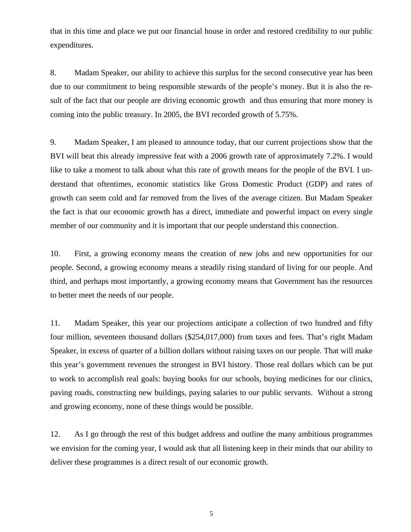that in this time and place we put our financial house in order and restored credibility to our public expenditures.

8. Madam Speaker, our ability to achieve this surplus for the second consecutive year has been due to our commitment to being responsible stewards of the people's money. But it is also the result of the fact that our people are driving economic growth and thus ensuring that more money is coming into the public treasury. In 2005, the BVI recorded growth of 5.75%.

9. Madam Speaker, I am pleased to announce today, that our current projections show that the BVI will beat this already impressive feat with a 2006 growth rate of approximately 7.2%. I would like to take a moment to talk about what this rate of growth means for the people of the BVI. I understand that oftentimes, economic statistics like Gross Domestic Product (GDP) and rates of growth can seem cold and far removed from the lives of the average citizen. But Madam Speaker the fact is that our economic growth has a direct, immediate and powerful impact on every single member of our community and it is important that our people understand this connection.

10. First, a growing economy means the creation of new jobs and new opportunities for our people. Second, a growing economy means a steadily rising standard of living for our people. And third, and perhaps most importantly, a growing economy means that Government has the resources to better meet the needs of our people.

11. Madam Speaker, this year our projections anticipate a collection of two hundred and fifty four million, seventeen thousand dollars (\$254,017,000) from taxes and fees. That's right Madam Speaker, in excess of quarter of a billion dollars without raising taxes on our people. That will make this year's government revenues the strongest in BVI history. Those real dollars which can be put to work to accomplish real goals: buying books for our schools, buying medicines for our clinics, paving roads, constructing new buildings, paying salaries to our public servants. Without a strong and growing economy, none of these things would be possible.

12. As I go through the rest of this budget address and outline the many ambitious programmes we envision for the coming year, I would ask that all listening keep in their minds that our ability to deliver these programmes is a direct result of our economic growth.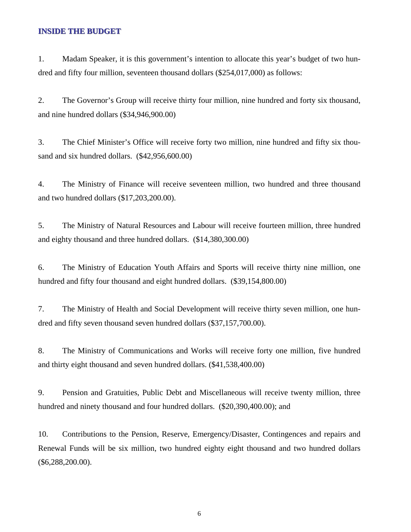#### **INSIDE THE BUDGET**

1. Madam Speaker, it is this government's intention to allocate this year's budget of two hundred and fifty four million, seventeen thousand dollars (\$254,017,000) as follows:

2. The Governor's Group will receive thirty four million, nine hundred and forty six thousand, and nine hundred dollars (\$34,946,900.00)

3. The Chief Minister's Office will receive forty two million, nine hundred and fifty six thousand and six hundred dollars. (\$42,956,600.00)

4. The Ministry of Finance will receive seventeen million, two hundred and three thousand and two hundred dollars (\$17,203,200.00).

5. The Ministry of Natural Resources and Labour will receive fourteen million, three hundred and eighty thousand and three hundred dollars. (\$14,380,300.00)

6. The Ministry of Education Youth Affairs and Sports will receive thirty nine million, one hundred and fifty four thousand and eight hundred dollars. (\$39,154,800.00)

7. The Ministry of Health and Social Development will receive thirty seven million, one hundred and fifty seven thousand seven hundred dollars (\$37,157,700.00).

8. The Ministry of Communications and Works will receive forty one million, five hundred and thirty eight thousand and seven hundred dollars. (\$41,538,400.00)

9. Pension and Gratuities, Public Debt and Miscellaneous will receive twenty million, three hundred and ninety thousand and four hundred dollars. (\$20,390,400.00); and

10. Contributions to the Pension, Reserve, Emergency/Disaster, Contingences and repairs and Renewal Funds will be six million, two hundred eighty eight thousand and two hundred dollars (\$6,288,200.00).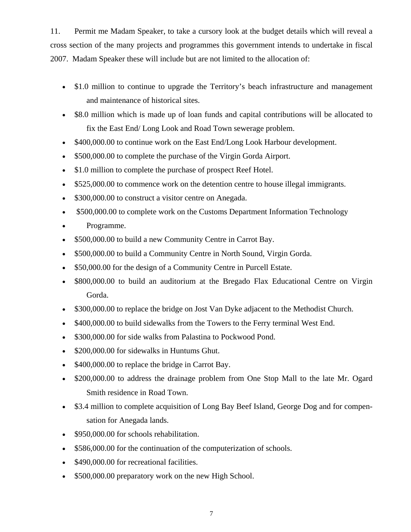11. Permit me Madam Speaker, to take a cursory look at the budget details which will reveal a cross section of the many projects and programmes this government intends to undertake in fiscal 2007. Madam Speaker these will include but are not limited to the allocation of:

- \$1.0 million to continue to upgrade the Territory's beach infrastructure and management and maintenance of historical sites.
- \$8.0 million which is made up of loan funds and capital contributions will be allocated to fix the East End/ Long Look and Road Town sewerage problem.
- \$400,000.00 to continue work on the East End/Long Look Harbour development.
- \$500,000.00 to complete the purchase of the Virgin Gorda Airport.
- \$1.0 million to complete the purchase of prospect Reef Hotel.
- \$525,000.00 to commence work on the detention centre to house illegal immigrants.
- \$300,000.00 to construct a visitor centre on Anegada.
- \$500,000.00 to complete work on the Customs Department Information Technology
- Programme.
- \$500,000.00 to build a new Community Centre in Carrot Bay.
- \$500,000.00 to build a Community Centre in North Sound, Virgin Gorda.
- \$50,000.00 for the design of a Community Centre in Purcell Estate.
- \$800,000.00 to build an auditorium at the Bregado Flax Educational Centre on Virgin Gorda.
- \$300,000.00 to replace the bridge on Jost Van Dyke adjacent to the Methodist Church.
- \$400,000.00 to build sidewalks from the Towers to the Ferry terminal West End.
- \$300,000.00 for side walks from Palastina to Pockwood Pond.
- \$200,000.00 for sidewalks in Huntums Ghut.
- \$400,000.00 to replace the bridge in Carrot Bay.
- \$200,000.00 to address the drainage problem from One Stop Mall to the late Mr. Ogard Smith residence in Road Town.
- \$3.4 million to complete acquisition of Long Bay Beef Island, George Dog and for compensation for Anegada lands.
- \$950,000.00 for schools rehabilitation.
- \$586,000.00 for the continuation of the computerization of schools.
- \$490,000.00 for recreational facilities.
- \$500,000.00 preparatory work on the new High School.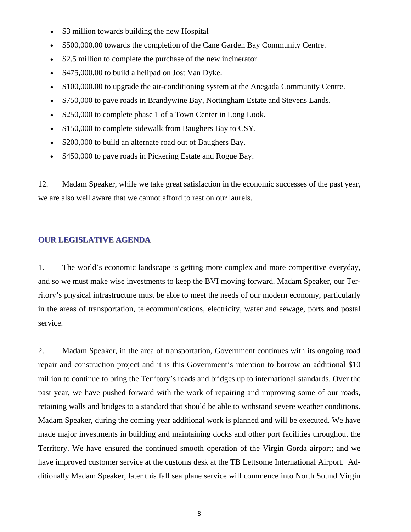- \$3 million towards building the new Hospital
- \$500,000.00 towards the completion of the Cane Garden Bay Community Centre.
- \$2.5 million to complete the purchase of the new incinerator.
- \$475,000.00 to build a helipad on Jost Van Dyke.
- \$100,000.00 to upgrade the air-conditioning system at the Anegada Community Centre.
- \$750,000 to pave roads in Brandywine Bay, Nottingham Estate and Stevens Lands.
- \$250,000 to complete phase 1 of a Town Center in Long Look.
- \$150,000 to complete sidewalk from Baughers Bay to CSY.
- \$200,000 to build an alternate road out of Baughers Bay.
- \$450,000 to pave roads in Pickering Estate and Rogue Bay.

12. Madam Speaker, while we take great satisfaction in the economic successes of the past year, we are also well aware that we cannot afford to rest on our laurels.

#### **OUR LEGISLATIVE AGENDA**

1. The world's economic landscape is getting more complex and more competitive everyday, and so we must make wise investments to keep the BVI moving forward. Madam Speaker, our Territory's physical infrastructure must be able to meet the needs of our modern economy, particularly in the areas of transportation, telecommunications, electricity, water and sewage, ports and postal service.

2. Madam Speaker, in the area of transportation, Government continues with its ongoing road repair and construction project and it is this Government's intention to borrow an additional \$10 million to continue to bring the Territory's roads and bridges up to international standards. Over the past year, we have pushed forward with the work of repairing and improving some of our roads, retaining walls and bridges to a standard that should be able to withstand severe weather conditions. Madam Speaker, during the coming year additional work is planned and will be executed. We have made major investments in building and maintaining docks and other port facilities throughout the Territory. We have ensured the continued smooth operation of the Virgin Gorda airport; and we have improved customer service at the customs desk at the TB Lettsome International Airport. Additionally Madam Speaker, later this fall sea plane service will commence into North Sound Virgin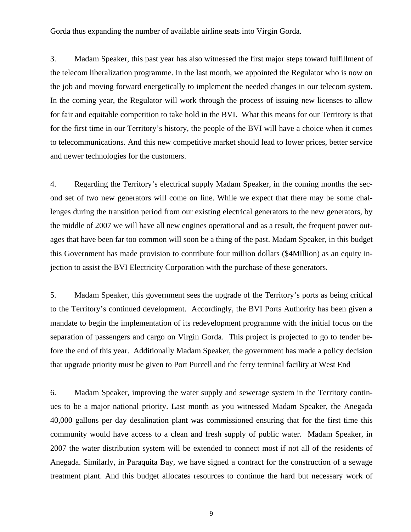Gorda thus expanding the number of available airline seats into Virgin Gorda.

3. Madam Speaker, this past year has also witnessed the first major steps toward fulfillment of the telecom liberalization programme. In the last month, we appointed the Regulator who is now on the job and moving forward energetically to implement the needed changes in our telecom system. In the coming year, the Regulator will work through the process of issuing new licenses to allow for fair and equitable competition to take hold in the BVI. What this means for our Territory is that for the first time in our Territory's history, the people of the BVI will have a choice when it comes to telecommunications. And this new competitive market should lead to lower prices, better service and newer technologies for the customers.

4. Regarding the Territory's electrical supply Madam Speaker, in the coming months the second set of two new generators will come on line. While we expect that there may be some challenges during the transition period from our existing electrical generators to the new generators, by the middle of 2007 we will have all new engines operational and as a result, the frequent power outages that have been far too common will soon be a thing of the past. Madam Speaker, in this budget this Government has made provision to contribute four million dollars (\$4Million) as an equity injection to assist the BVI Electricity Corporation with the purchase of these generators.

5. Madam Speaker, this government sees the upgrade of the Territory's ports as being critical to the Territory's continued development. Accordingly, the BVI Ports Authority has been given a mandate to begin the implementation of its redevelopment programme with the initial focus on the separation of passengers and cargo on Virgin Gorda. This project is projected to go to tender before the end of this year. Additionally Madam Speaker, the government has made a policy decision that upgrade priority must be given to Port Purcell and the ferry terminal facility at West End

6. Madam Speaker, improving the water supply and sewerage system in the Territory continues to be a major national priority. Last month as you witnessed Madam Speaker, the Anegada 40,000 gallons per day desalination plant was commissioned ensuring that for the first time this community would have access to a clean and fresh supply of public water. Madam Speaker, in 2007 the water distribution system will be extended to connect most if not all of the residents of Anegada. Similarly, in Paraquita Bay, we have signed a contract for the construction of a sewage treatment plant. And this budget allocates resources to continue the hard but necessary work of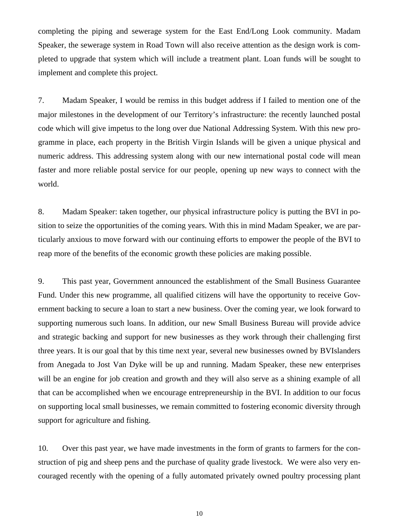completing the piping and sewerage system for the East End/Long Look community. Madam Speaker, the sewerage system in Road Town will also receive attention as the design work is completed to upgrade that system which will include a treatment plant. Loan funds will be sought to implement and complete this project.

7. Madam Speaker, I would be remiss in this budget address if I failed to mention one of the major milestones in the development of our Territory's infrastructure: the recently launched postal code which will give impetus to the long over due National Addressing System. With this new programme in place, each property in the British Virgin Islands will be given a unique physical and numeric address. This addressing system along with our new international postal code will mean faster and more reliable postal service for our people, opening up new ways to connect with the world.

8. Madam Speaker: taken together, our physical infrastructure policy is putting the BVI in position to seize the opportunities of the coming years. With this in mind Madam Speaker, we are particularly anxious to move forward with our continuing efforts to empower the people of the BVI to reap more of the benefits of the economic growth these policies are making possible.

9. This past year, Government announced the establishment of the Small Business Guarantee Fund. Under this new programme, all qualified citizens will have the opportunity to receive Government backing to secure a loan to start a new business. Over the coming year, we look forward to supporting numerous such loans. In addition, our new Small Business Bureau will provide advice and strategic backing and support for new businesses as they work through their challenging first three years. It is our goal that by this time next year, several new businesses owned by BVIslanders from Anegada to Jost Van Dyke will be up and running. Madam Speaker, these new enterprises will be an engine for job creation and growth and they will also serve as a shining example of all that can be accomplished when we encourage entrepreneurship in the BVI. In addition to our focus on supporting local small businesses, we remain committed to fostering economic diversity through support for agriculture and fishing.

10. Over this past year, we have made investments in the form of grants to farmers for the construction of pig and sheep pens and the purchase of quality grade livestock. We were also very encouraged recently with the opening of a fully automated privately owned poultry processing plant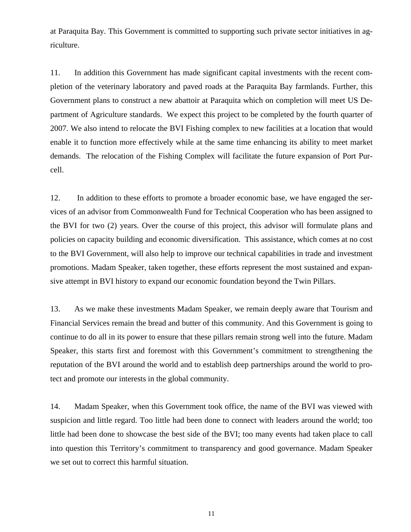at Paraquita Bay. This Government is committed to supporting such private sector initiatives in agriculture.

11. In addition this Government has made significant capital investments with the recent completion of the veterinary laboratory and paved roads at the Paraquita Bay farmlands. Further, this Government plans to construct a new abattoir at Paraquita which on completion will meet US Department of Agriculture standards. We expect this project to be completed by the fourth quarter of 2007. We also intend to relocate the BVI Fishing complex to new facilities at a location that would enable it to function more effectively while at the same time enhancing its ability to meet market demands. The relocation of the Fishing Complex will facilitate the future expansion of Port Purcell.

12. In addition to these efforts to promote a broader economic base, we have engaged the services of an advisor from Commonwealth Fund for Technical Cooperation who has been assigned to the BVI for two (2) years. Over the course of this project, this advisor will formulate plans and policies on capacity building and economic diversification. This assistance, which comes at no cost to the BVI Government, will also help to improve our technical capabilities in trade and investment promotions. Madam Speaker, taken together, these efforts represent the most sustained and expansive attempt in BVI history to expand our economic foundation beyond the Twin Pillars.

13. As we make these investments Madam Speaker, we remain deeply aware that Tourism and Financial Services remain the bread and butter of this community. And this Government is going to continue to do all in its power to ensure that these pillars remain strong well into the future. Madam Speaker, this starts first and foremost with this Government's commitment to strengthening the reputation of the BVI around the world and to establish deep partnerships around the world to protect and promote our interests in the global community.

14. Madam Speaker, when this Government took office, the name of the BVI was viewed with suspicion and little regard. Too little had been done to connect with leaders around the world; too little had been done to showcase the best side of the BVI; too many events had taken place to call into question this Territory's commitment to transparency and good governance. Madam Speaker we set out to correct this harmful situation.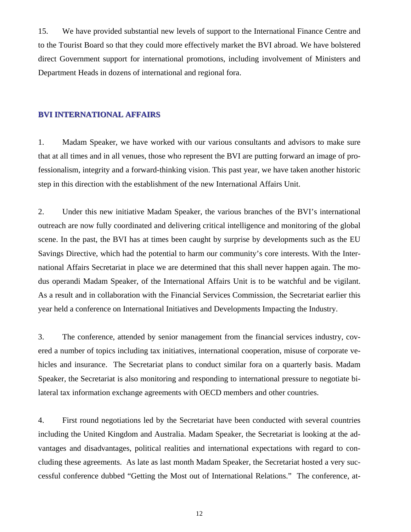15. We have provided substantial new levels of support to the International Finance Centre and to the Tourist Board so that they could more effectively market the BVI abroad. We have bolstered direct Government support for international promotions, including involvement of Ministers and Department Heads in dozens of international and regional fora.

#### **BVI INTERNATIONAL AFFAIRS**

1. Madam Speaker, we have worked with our various consultants and advisors to make sure that at all times and in all venues, those who represent the BVI are putting forward an image of professionalism, integrity and a forward-thinking vision. This past year, we have taken another historic step in this direction with the establishment of the new International Affairs Unit.

2. Under this new initiative Madam Speaker, the various branches of the BVI's international outreach are now fully coordinated and delivering critical intelligence and monitoring of the global scene. In the past, the BVI has at times been caught by surprise by developments such as the EU Savings Directive, which had the potential to harm our community's core interests. With the International Affairs Secretariat in place we are determined that this shall never happen again. The modus operandi Madam Speaker, of the International Affairs Unit is to be watchful and be vigilant. As a result and in collaboration with the Financial Services Commission, the Secretariat earlier this year held a conference on International Initiatives and Developments Impacting the Industry.

3. The conference, attended by senior management from the financial services industry, covered a number of topics including tax initiatives, international cooperation, misuse of corporate vehicles and insurance. The Secretariat plans to conduct similar fora on a quarterly basis. Madam Speaker, the Secretariat is also monitoring and responding to international pressure to negotiate bilateral tax information exchange agreements with OECD members and other countries.

4. First round negotiations led by the Secretariat have been conducted with several countries including the United Kingdom and Australia. Madam Speaker, the Secretariat is looking at the advantages and disadvantages, political realities and international expectations with regard to concluding these agreements. As late as last month Madam Speaker, the Secretariat hosted a very successful conference dubbed "Getting the Most out of International Relations." The conference, at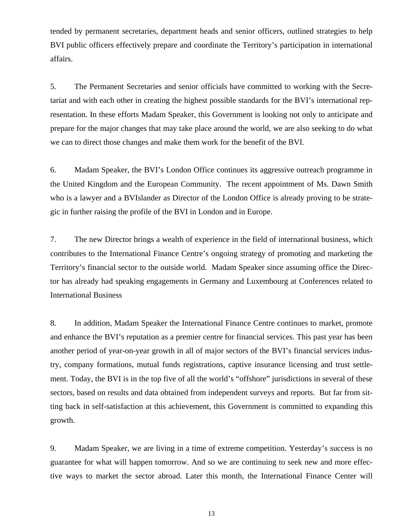tended by permanent secretaries, department heads and senior officers, outlined strategies to help BVI public officers effectively prepare and coordinate the Territory's participation in international affairs.

5. The Permanent Secretaries and senior officials have committed to working with the Secretariat and with each other in creating the highest possible standards for the BVI's international representation. In these efforts Madam Speaker, this Government is looking not only to anticipate and prepare for the major changes that may take place around the world, we are also seeking to do what we can to direct those changes and make them work for the benefit of the BVI.

6. Madam Speaker, the BVI's London Office continues its aggressive outreach programme in the United Kingdom and the European Community. The recent appointment of Ms. Dawn Smith who is a lawyer and a BVIslander as Director of the London Office is already proving to be strategic in further raising the profile of the BVI in London and in Europe.

7. The new Director brings a wealth of experience in the field of international business, which contributes to the International Finance Centre's ongoing strategy of promoting and marketing the Territory's financial sector to the outside world. Madam Speaker since assuming office the Director has already had speaking engagements in Germany and Luxembourg at Conferences related to International Business

8. In addition, Madam Speaker the International Finance Centre continues to market, promote and enhance the BVI's reputation as a premier centre for financial services. This past year has been another period of year-on-year growth in all of major sectors of the BVI's financial services industry, company formations, mutual funds registrations, captive insurance licensing and trust settlement. Today, the BVI is in the top five of all the world's "offshore" jurisdictions in several of these sectors, based on results and data obtained from independent surveys and reports. But far from sitting back in self-satisfaction at this achievement, this Government is committed to expanding this growth.

9. Madam Speaker, we are living in a time of extreme competition. Yesterday's success is no guarantee for what will happen tomorrow. And so we are continuing to seek new and more effective ways to market the sector abroad. Later this month, the International Finance Center will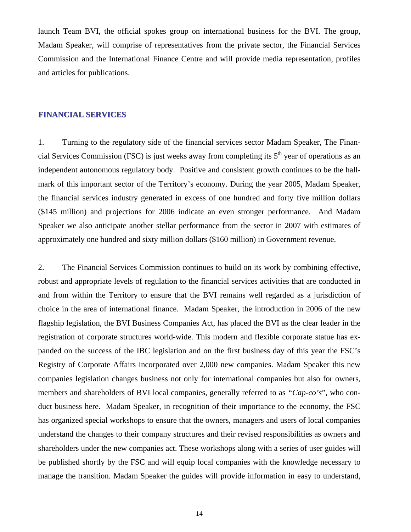launch Team BVI, the official spokes group on international business for the BVI. The group, Madam Speaker, will comprise of representatives from the private sector, the Financial Services Commission and the International Finance Centre and will provide media representation, profiles and articles for publications.

#### **FINANCIAL SERVICES**

1. Turning to the regulatory side of the financial services sector Madam Speaker, The Financial Services Commission (FSC) is just weeks away from completing its  $5<sup>th</sup>$  year of operations as an independent autonomous regulatory body. Positive and consistent growth continues to be the hallmark of this important sector of the Territory's economy. During the year 2005, Madam Speaker, the financial services industry generated in excess of one hundred and forty five million dollars (\$145 million) and projections for 2006 indicate an even stronger performance. And Madam Speaker we also anticipate another stellar performance from the sector in 2007 with estimates of approximately one hundred and sixty million dollars (\$160 million) in Government revenue.

2. The Financial Services Commission continues to build on its work by combining effective, robust and appropriate levels of regulation to the financial services activities that are conducted in and from within the Territory to ensure that the BVI remains well regarded as a jurisdiction of choice in the area of international finance. Madam Speaker, the introduction in 2006 of the new flagship legislation, the BVI Business Companies Act, has placed the BVI as the clear leader in the registration of corporate structures world-wide. This modern and flexible corporate statue has expanded on the success of the IBC legislation and on the first business day of this year the FSC's Registry of Corporate Affairs incorporated over 2,000 new companies. Madam Speaker this new companies legislation changes business not only for international companies but also for owners, members and shareholders of BVI local companies, generally referred to as *"Cap-co's*", who conduct business here. Madam Speaker, in recognition of their importance to the economy, the FSC has organized special workshops to ensure that the owners, managers and users of local companies understand the changes to their company structures and their revised responsibilities as owners and shareholders under the new companies act. These workshops along with a series of user guides will be published shortly by the FSC and will equip local companies with the knowledge necessary to manage the transition. Madam Speaker the guides will provide information in easy to understand,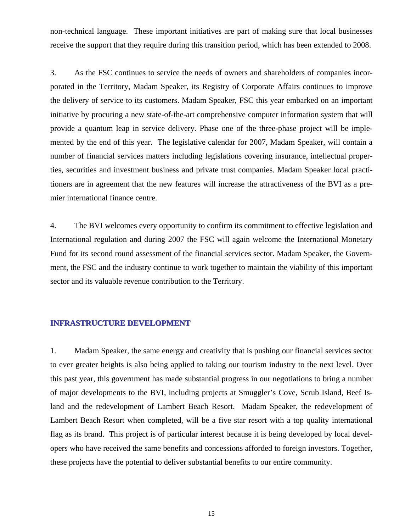non-technical language. These important initiatives are part of making sure that local businesses receive the support that they require during this transition period, which has been extended to 2008.

3. As the FSC continues to service the needs of owners and shareholders of companies incorporated in the Territory, Madam Speaker, its Registry of Corporate Affairs continues to improve the delivery of service to its customers. Madam Speaker, FSC this year embarked on an important initiative by procuring a new state-of-the-art comprehensive computer information system that will provide a quantum leap in service delivery. Phase one of the three-phase project will be implemented by the end of this year. The legislative calendar for 2007, Madam Speaker, will contain a number of financial services matters including legislations covering insurance, intellectual properties, securities and investment business and private trust companies. Madam Speaker local practitioners are in agreement that the new features will increase the attractiveness of the BVI as a premier international finance centre.

4. The BVI welcomes every opportunity to confirm its commitment to effective legislation and International regulation and during 2007 the FSC will again welcome the International Monetary Fund for its second round assessment of the financial services sector. Madam Speaker, the Government, the FSC and the industry continue to work together to maintain the viability of this important sector and its valuable revenue contribution to the Territory.

#### **INFRASTRUCTURE DEVELOPMENT INFRASTRUCTURE DEVELOPMENT**

1. Madam Speaker, the same energy and creativity that is pushing our financial services sector to ever greater heights is also being applied to taking our tourism industry to the next level. Over this past year, this government has made substantial progress in our negotiations to bring a number of major developments to the BVI, including projects at Smuggler's Cove, Scrub Island, Beef Island and the redevelopment of Lambert Beach Resort. Madam Speaker, the redevelopment of Lambert Beach Resort when completed, will be a five star resort with a top quality international flag as its brand. This project is of particular interest because it is being developed by local developers who have received the same benefits and concessions afforded to foreign investors. Together, these projects have the potential to deliver substantial benefits to our entire community.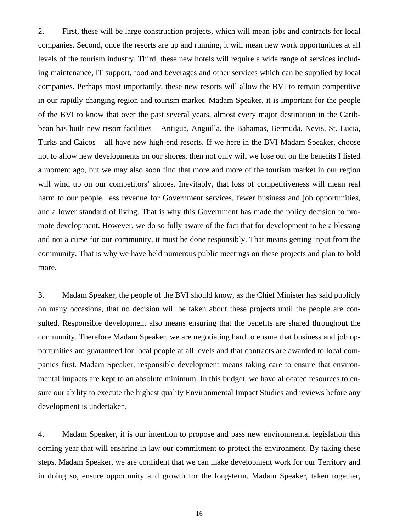2. First, these will be large construction projects, which will mean jobs and contracts for local companies. Second, once the resorts are up and running, it will mean new work opportunities at all levels of the tourism industry. Third, these new hotels will require a wide range of services including maintenance, IT support, food and beverages and other services which can be supplied by local companies. Perhaps most importantly, these new resorts will allow the BVI to remain competitive in our rapidly changing region and tourism market. Madam Speaker, it is important for the people of the BVI to know that over the past several years, almost every major destination in the Caribbean has built new resort facilities – Antigua, Anguilla, the Bahamas, Bermuda, Nevis, St. Lucia, Turks and Caicos – all have new high-end resorts. If we here in the BVI Madam Speaker, choose not to allow new developments on our shores, then not only will we lose out on the benefits I listed a moment ago, but we may also soon find that more and more of the tourism market in our region will wind up on our competitors' shores. Inevitably, that loss of competitiveness will mean real harm to our people, less revenue for Government services, fewer business and job opportunities, and a lower standard of living. That is why this Government has made the policy decision to promote development. However, we do so fully aware of the fact that for development to be a blessing and not a curse for our community, it must be done responsibly. That means getting input from the community. That is why we have held numerous public meetings on these projects and plan to hold more.

3. Madam Speaker, the people of the BVI should know, as the Chief Minister has said publicly on many occasions, that no decision will be taken about these projects until the people are consulted. Responsible development also means ensuring that the benefits are shared throughout the community. Therefore Madam Speaker, we are negotiating hard to ensure that business and job opportunities are guaranteed for local people at all levels and that contracts are awarded to local companies first. Madam Speaker, responsible development means taking care to ensure that environmental impacts are kept to an absolute minimum. In this budget, we have allocated resources to ensure our ability to execute the highest quality Environmental Impact Studies and reviews before any development is undertaken.

4. Madam Speaker, it is our intention to propose and pass new environmental legislation this coming year that will enshrine in law our commitment to protect the environment. By taking these steps, Madam Speaker, we are confident that we can make development work for our Territory and in doing so, ensure opportunity and growth for the long-term. Madam Speaker, taken together,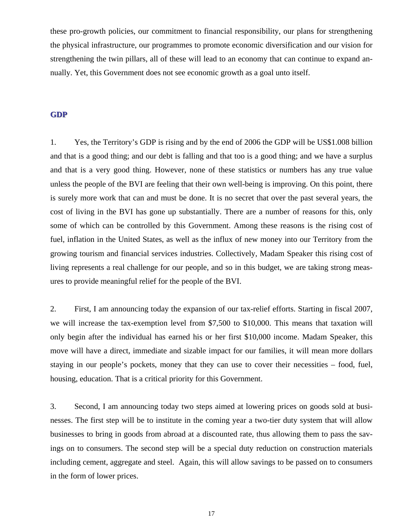these pro-growth policies, our commitment to financial responsibility, our plans for strengthening the physical infrastructure, our programmes to promote economic diversification and our vision for strengthening the twin pillars, all of these will lead to an economy that can continue to expand annually. Yet, this Government does not see economic growth as a goal unto itself.

#### **GDP**

1. Yes, the Territory's GDP is rising and by the end of 2006 the GDP will be US\$1.008 billion and that is a good thing; and our debt is falling and that too is a good thing; and we have a surplus and that is a very good thing. However, none of these statistics or numbers has any true value unless the people of the BVI are feeling that their own well-being is improving. On this point, there is surely more work that can and must be done. It is no secret that over the past several years, the cost of living in the BVI has gone up substantially. There are a number of reasons for this, only some of which can be controlled by this Government. Among these reasons is the rising cost of fuel, inflation in the United States, as well as the influx of new money into our Territory from the growing tourism and financial services industries. Collectively, Madam Speaker this rising cost of living represents a real challenge for our people, and so in this budget, we are taking strong measures to provide meaningful relief for the people of the BVI.

2. First, I am announcing today the expansion of our tax-relief efforts. Starting in fiscal 2007, we will increase the tax-exemption level from \$7,500 to \$10,000. This means that taxation will only begin after the individual has earned his or her first \$10,000 income. Madam Speaker, this move will have a direct, immediate and sizable impact for our families, it will mean more dollars staying in our people's pockets, money that they can use to cover their necessities – food, fuel, housing, education. That is a critical priority for this Government.

3. Second, I am announcing today two steps aimed at lowering prices on goods sold at businesses. The first step will be to institute in the coming year a two-tier duty system that will allow businesses to bring in goods from abroad at a discounted rate, thus allowing them to pass the savings on to consumers. The second step will be a special duty reduction on construction materials including cement, aggregate and steel. Again, this will allow savings to be passed on to consumers in the form of lower prices.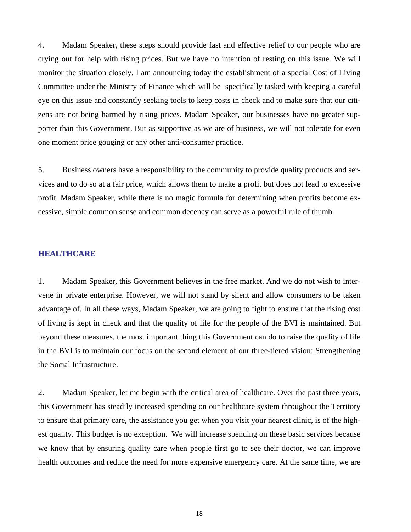4. Madam Speaker, these steps should provide fast and effective relief to our people who are crying out for help with rising prices. But we have no intention of resting on this issue. We will monitor the situation closely. I am announcing today the establishment of a special Cost of Living Committee under the Ministry of Finance which will be specifically tasked with keeping a careful eye on this issue and constantly seeking tools to keep costs in check and to make sure that our citizens are not being harmed by rising prices. Madam Speaker, our businesses have no greater supporter than this Government. But as supportive as we are of business, we will not tolerate for even one moment price gouging or any other anti-consumer practice.

5. Business owners have a responsibility to the community to provide quality products and services and to do so at a fair price, which allows them to make a profit but does not lead to excessive profit. Madam Speaker, while there is no magic formula for determining when profits become excessive, simple common sense and common decency can serve as a powerful rule of thumb.

#### **HEALTHCARE**

1. Madam Speaker, this Government believes in the free market. And we do not wish to intervene in private enterprise. However, we will not stand by silent and allow consumers to be taken advantage of. In all these ways, Madam Speaker, we are going to fight to ensure that the rising cost of living is kept in check and that the quality of life for the people of the BVI is maintained. But beyond these measures, the most important thing this Government can do to raise the quality of life in the BVI is to maintain our focus on the second element of our three-tiered vision: Strengthening the Social Infrastructure.

2. Madam Speaker, let me begin with the critical area of healthcare. Over the past three years, this Government has steadily increased spending on our healthcare system throughout the Territory to ensure that primary care, the assistance you get when you visit your nearest clinic, is of the highest quality. This budget is no exception. We will increase spending on these basic services because we know that by ensuring quality care when people first go to see their doctor, we can improve health outcomes and reduce the need for more expensive emergency care. At the same time, we are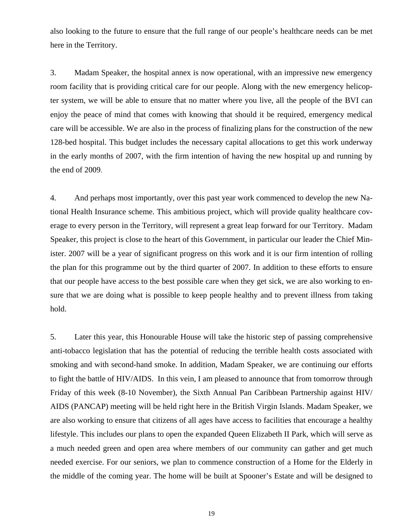also looking to the future to ensure that the full range of our people's healthcare needs can be met here in the Territory.

3. Madam Speaker, the hospital annex is now operational, with an impressive new emergency room facility that is providing critical care for our people. Along with the new emergency helicopter system, we will be able to ensure that no matter where you live, all the people of the BVI can enjoy the peace of mind that comes with knowing that should it be required, emergency medical care will be accessible. We are also in the process of finalizing plans for the construction of the new 128-bed hospital. This budget includes the necessary capital allocations to get this work underway in the early months of 2007, with the firm intention of having the new hospital up and running by the end of 2009.

4. And perhaps most importantly, over this past year work commenced to develop the new National Health Insurance scheme. This ambitious project, which will provide quality healthcare coverage to every person in the Territory, will represent a great leap forward for our Territory. Madam Speaker, this project is close to the heart of this Government, in particular our leader the Chief Minister. 2007 will be a year of significant progress on this work and it is our firm intention of rolling the plan for this programme out by the third quarter of 2007. In addition to these efforts to ensure that our people have access to the best possible care when they get sick, we are also working to ensure that we are doing what is possible to keep people healthy and to prevent illness from taking hold.

5. Later this year, this Honourable House will take the historic step of passing comprehensive anti-tobacco legislation that has the potential of reducing the terrible health costs associated with smoking and with second-hand smoke. In addition, Madam Speaker, we are continuing our efforts to fight the battle of HIV/AIDS. In this vein, I am pleased to announce that from tomorrow through Friday of this week (8-10 November), the Sixth Annual Pan Caribbean Partnership against HIV/ AIDS (PANCAP) meeting will be held right here in the British Virgin Islands. Madam Speaker, we are also working to ensure that citizens of all ages have access to facilities that encourage a healthy lifestyle. This includes our plans to open the expanded Queen Elizabeth II Park, which will serve as a much needed green and open area where members of our community can gather and get much needed exercise. For our seniors, we plan to commence construction of a Home for the Elderly in the middle of the coming year. The home will be built at Spooner's Estate and will be designed to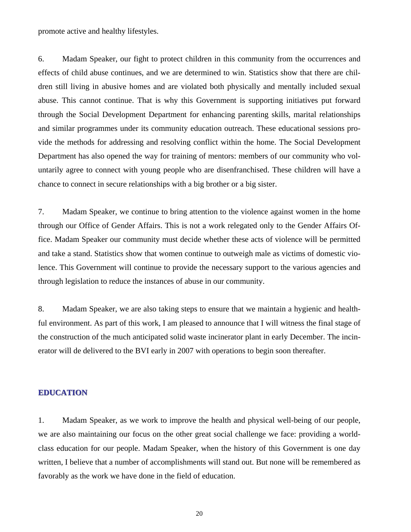promote active and healthy lifestyles.

6. Madam Speaker, our fight to protect children in this community from the occurrences and effects of child abuse continues, and we are determined to win. Statistics show that there are children still living in abusive homes and are violated both physically and mentally included sexual abuse. This cannot continue. That is why this Government is supporting initiatives put forward through the Social Development Department for enhancing parenting skills, marital relationships and similar programmes under its community education outreach. These educational sessions provide the methods for addressing and resolving conflict within the home. The Social Development Department has also opened the way for training of mentors: members of our community who voluntarily agree to connect with young people who are disenfranchised. These children will have a chance to connect in secure relationships with a big brother or a big sister.

7. Madam Speaker, we continue to bring attention to the violence against women in the home through our Office of Gender Affairs. This is not a work relegated only to the Gender Affairs Office. Madam Speaker our community must decide whether these acts of violence will be permitted and take a stand. Statistics show that women continue to outweigh male as victims of domestic violence. This Government will continue to provide the necessary support to the various agencies and through legislation to reduce the instances of abuse in our community.

8. Madam Speaker, we are also taking steps to ensure that we maintain a hygienic and healthful environment. As part of this work, I am pleased to announce that I will witness the final stage of the construction of the much anticipated solid waste incinerator plant in early December. The incinerator will de delivered to the BVI early in 2007 with operations to begin soon thereafter.

#### **EDUCATION EDUCATION**

1. Madam Speaker, as we work to improve the health and physical well-being of our people, we are also maintaining our focus on the other great social challenge we face: providing a worldclass education for our people. Madam Speaker, when the history of this Government is one day written, I believe that a number of accomplishments will stand out. But none will be remembered as favorably as the work we have done in the field of education.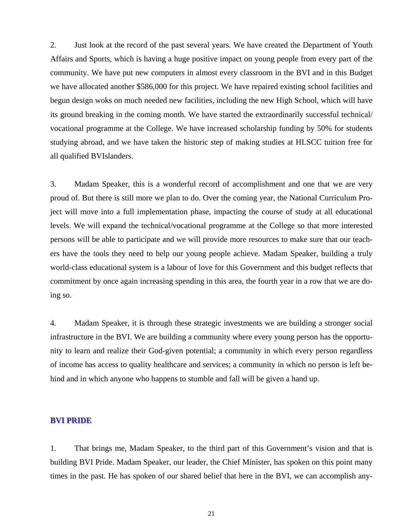2. Just look at the record of the past several years. We have created the Department of Youth Affairs and Sports, which is having a huge positive impact on young people from every part of the community. We have put new computers in almost every classroom in the BVI and in this Budget we have allocated another \$586,000 for this project. We have repaired existing school facilities and begun design woks on much needed new facilities, including the new High School, which will have its ground breaking in the coming month. We have started the extraordinarily successful technical/ vocational programme at the College. We have increased scholarship funding by 50% for students studying abroad, and we have taken the historic step of making studies at HLSCC tuition free for all qualified BVIslanders.

3. Madam Speaker, this is a wonderful record of accomplishment and one that we are very proud of. But there is still more we plan to do. Over the coming year, the National Curriculum Project will move into a full implementation phase, impacting the course of study at all educational levels. We will expand the technical/vocational programme at the College so that more interested persons will be able to participate and we will provide more resources to make sure that our teachers have the tools they need to help our young people achieve. Madam Speaker, building a truly world-class educational system is a labour of love for this Government and this budget reflects that commitment by once again increasing spending in this area, the fourth year in a row that we are doing so.

4. Madam Speaker, it is through these strategic investments we are building a stronger social infrastructure in the BVI. We are building a community where every young person has the opportunity to learn and realize their God-given potential; a community in which every person regardless of income has access to quality healthcare and services; a community in which no person is left behind and in which anyone who happens to stumble and fall will be given a hand up.

#### **BVI PRIDE BVI PRIDE**

1. That brings me, Madam Speaker, to the third part of this Government's vision and that is building BVI Pride. Madam Speaker, our leader, the Chief Minister, has spoken on this point many times in the past. He has spoken of our shared belief that here in the BVI, we can accomplish any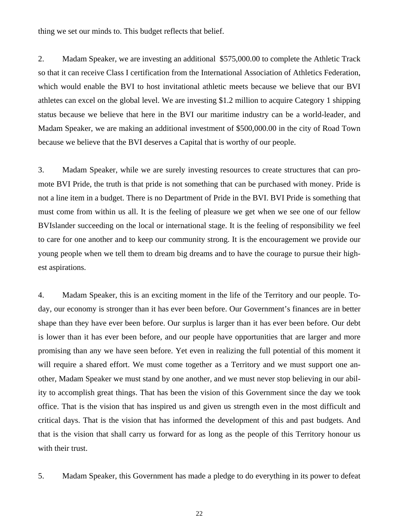thing we set our minds to. This budget reflects that belief.

2. Madam Speaker, we are investing an additional \$575,000.00 to complete the Athletic Track so that it can receive Class I certification from the International Association of Athletics Federation, which would enable the BVI to host invitational athletic meets because we believe that our BVI athletes can excel on the global level. We are investing \$1.2 million to acquire Category 1 shipping status because we believe that here in the BVI our maritime industry can be a world-leader, and Madam Speaker, we are making an additional investment of \$500,000.00 in the city of Road Town because we believe that the BVI deserves a Capital that is worthy of our people.

3. Madam Speaker, while we are surely investing resources to create structures that can promote BVI Pride, the truth is that pride is not something that can be purchased with money. Pride is not a line item in a budget. There is no Department of Pride in the BVI. BVI Pride is something that must come from within us all. It is the feeling of pleasure we get when we see one of our fellow BVIslander succeeding on the local or international stage. It is the feeling of responsibility we feel to care for one another and to keep our community strong. It is the encouragement we provide our young people when we tell them to dream big dreams and to have the courage to pursue their highest aspirations.

4. Madam Speaker, this is an exciting moment in the life of the Territory and our people. Today, our economy is stronger than it has ever been before. Our Government's finances are in better shape than they have ever been before. Our surplus is larger than it has ever been before. Our debt is lower than it has ever been before, and our people have opportunities that are larger and more promising than any we have seen before. Yet even in realizing the full potential of this moment it will require a shared effort. We must come together as a Territory and we must support one another, Madam Speaker we must stand by one another, and we must never stop believing in our ability to accomplish great things. That has been the vision of this Government since the day we took office. That is the vision that has inspired us and given us strength even in the most difficult and critical days. That is the vision that has informed the development of this and past budgets. And that is the vision that shall carry us forward for as long as the people of this Territory honour us with their trust.

5. Madam Speaker, this Government has made a pledge to do everything in its power to defeat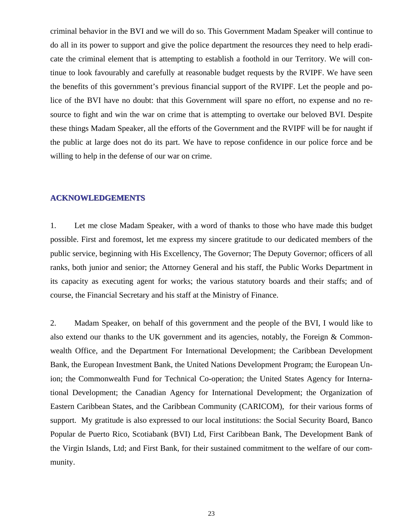criminal behavior in the BVI and we will do so. This Government Madam Speaker will continue to do all in its power to support and give the police department the resources they need to help eradicate the criminal element that is attempting to establish a foothold in our Territory. We will continue to look favourably and carefully at reasonable budget requests by the RVIPF. We have seen the benefits of this government's previous financial support of the RVIPF. Let the people and police of the BVI have no doubt: that this Government will spare no effort, no expense and no resource to fight and win the war on crime that is attempting to overtake our beloved BVI. Despite these things Madam Speaker, all the efforts of the Government and the RVIPF will be for naught if the public at large does not do its part. We have to repose confidence in our police force and be willing to help in the defense of our war on crime.

#### **ACKNOWLEDGEMENTS ACKNOWLEDGEMENTS**

1. Let me close Madam Speaker, with a word of thanks to those who have made this budget possible. First and foremost, let me express my sincere gratitude to our dedicated members of the public service, beginning with His Excellency, The Governor; The Deputy Governor; officers of all ranks, both junior and senior; the Attorney General and his staff, the Public Works Department in its capacity as executing agent for works; the various statutory boards and their staffs; and of course, the Financial Secretary and his staff at the Ministry of Finance.

2. Madam Speaker, on behalf of this government and the people of the BVI, I would like to also extend our thanks to the UK government and its agencies, notably, the Foreign & Commonwealth Office, and the Department For International Development; the Caribbean Development Bank, the European Investment Bank, the United Nations Development Program; the European Union; the Commonwealth Fund for Technical Co-operation; the United States Agency for International Development; the Canadian Agency for International Development; the Organization of Eastern Caribbean States, and the Caribbean Community (CARICOM), for their various forms of support. My gratitude is also expressed to our local institutions: the Social Security Board, Banco Popular de Puerto Rico, Scotiabank (BVI) Ltd, First Caribbean Bank, The Development Bank of the Virgin Islands, Ltd; and First Bank, for their sustained commitment to the welfare of our community.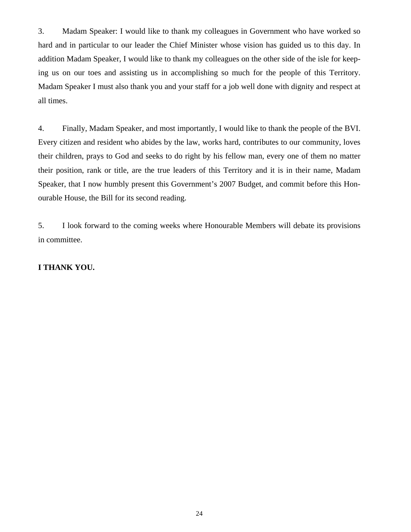3. Madam Speaker: I would like to thank my colleagues in Government who have worked so hard and in particular to our leader the Chief Minister whose vision has guided us to this day. In addition Madam Speaker, I would like to thank my colleagues on the other side of the isle for keeping us on our toes and assisting us in accomplishing so much for the people of this Territory. Madam Speaker I must also thank you and your staff for a job well done with dignity and respect at all times.

4. Finally, Madam Speaker, and most importantly, I would like to thank the people of the BVI. Every citizen and resident who abides by the law, works hard, contributes to our community, loves their children, prays to God and seeks to do right by his fellow man, every one of them no matter their position, rank or title, are the true leaders of this Territory and it is in their name, Madam Speaker, that I now humbly present this Government's 2007 Budget, and commit before this Honourable House, the Bill for its second reading.

5. I look forward to the coming weeks where Honourable Members will debate its provisions in committee.

#### **I THANK YOU.**